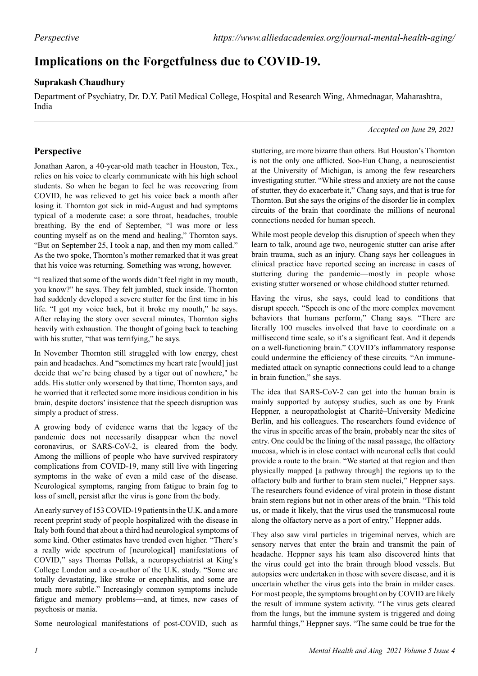## **Implications on the Forgetfulness due to COVID-19.**

## **Suprakash Chaudhury**

Department of Psychiatry, Dr. D.Y. Patil Medical College, Hospital and Research Wing, Ahmednagar, Maharashtra, India

## *Accepted on June 29, 2021*

## **Perspective**

Jonathan Aaron, a 40-year-old math teacher in Houston, Tex., relies on his voice to clearly communicate with his high school students. So when he began to feel he was recovering from COVID, he was relieved to get his voice back a month after losing it. Thornton got sick in mid-August and had symptoms typical of a moderate case: a sore throat, headaches, trouble breathing. By the end of September, "I was more or less counting myself as on the mend and healing," Thornton says. "But on September 25, I took a nap, and then my mom called." As the two spoke, Thornton's mother remarked that it was great that his voice was returning. Something was wrong, however.

"I realized that some of the words didn't feel right in my mouth, you know?" he says. They felt jumbled, stuck inside. Thornton had suddenly developed a severe stutter for the first time in his life. "I got my voice back, but it broke my mouth," he says. After relaying the story over several minutes, Thornton sighs heavily with exhaustion. The thought of going back to teaching with his stutter, "that was terrifying," he says.

In November Thornton still struggled with low energy, chest pain and headaches. And "sometimes my heart rate [would] just decide that we're being chased by a tiger out of nowhere," he adds. His stutter only worsened by that time, Thornton says, and he worried that it reflected some more insidious condition in his brain, despite doctors' insistence that the speech disruption was simply a product of stress.

A growing body of evidence warns that the legacy of the pandemic does not necessarily disappear when the novel coronavirus, or SARS-CoV-2, is cleared from the body. Among the millions of people who have survived respiratory complications from COVID-19, many still live with lingering symptoms in the wake of even a mild case of the disease. Neurological symptoms, ranging from fatigue to brain fog to loss of smell, persist after the virus is gone from the body.

An early survey of 153 COVID-19 patients in the U.K. and a more recent preprint study of people hospitalized with the disease in Italy both found that about a third had neurological symptoms of some kind. Other estimates have trended even higher. "There's a really wide spectrum of [neurological] manifestations of COVID," says Thomas Pollak, a neuropsychiatrist at King's College London and a co-author of the U.K. study. "Some are totally devastating, like stroke or encephalitis, and some are much more subtle." Increasingly common symptoms include fatigue and memory problems—and, at times, new cases of psychosis or mania.

Some neurological manifestations of post-COVID, such as

stuttering, are more bizarre than others. But Houston's Thornton is not the only one afflicted. Soo-Eun Chang, a neuroscientist at the University of Michigan, is among the few researchers investigating stutter. "While stress and anxiety are not the cause of stutter, they do exacerbate it," Chang says, and that is true for Thornton. But she says the origins of the disorder lie in complex circuits of the brain that coordinate the millions of neuronal connections needed for human speech.

While most people develop this disruption of speech when they learn to talk, around age two, neurogenic stutter can arise after brain trauma, such as an injury. Chang says her colleagues in clinical practice have reported seeing an increase in cases of stuttering during the pandemic—mostly in people whose existing stutter worsened or whose childhood stutter returned.

Having the virus, she says, could lead to conditions that disrupt speech. "Speech is one of the more complex movement behaviors that humans perform," Chang says. "There are literally 100 muscles involved that have to coordinate on a millisecond time scale, so it's a significant feat. And it depends on a well-functioning brain." COVID's inflammatory response could undermine the efficiency of these circuits. "An immunemediated attack on synaptic connections could lead to a change in brain function," she says.

The idea that SARS-CoV-2 can get into the human brain is mainly supported by autopsy studies, such as one by Frank Heppner, a neuropathologist at Charité–University Medicine Berlin, and his colleagues. The researchers found evidence of the virus in specific areas of the brain, probably near the sites of entry. One could be the lining of the nasal passage, the olfactory mucosa, which is in close contact with neuronal cells that could provide a route to the brain. "We started at that region and then physically mapped [a pathway through] the regions up to the olfactory bulb and further to brain stem nuclei," Heppner says. The researchers found evidence of viral protein in those distant brain stem regions but not in other areas of the brain. "This told us, or made it likely, that the virus used the transmucosal route along the olfactory nerve as a port of entry," Heppner adds.

They also saw viral particles in trigeminal nerves, which are sensory nerves that enter the brain and transmit the pain of headache. Heppner says his team also discovered hints that the virus could get into the brain through blood vessels. But autopsies were undertaken in those with severe disease, and it is uncertain whether the virus gets into the brain in milder cases. For most people, the symptoms brought on by COVID are likely the result of immune system activity. "The virus gets cleared from the lungs, but the immune system is triggered and doing harmful things," Heppner says. "The same could be true for the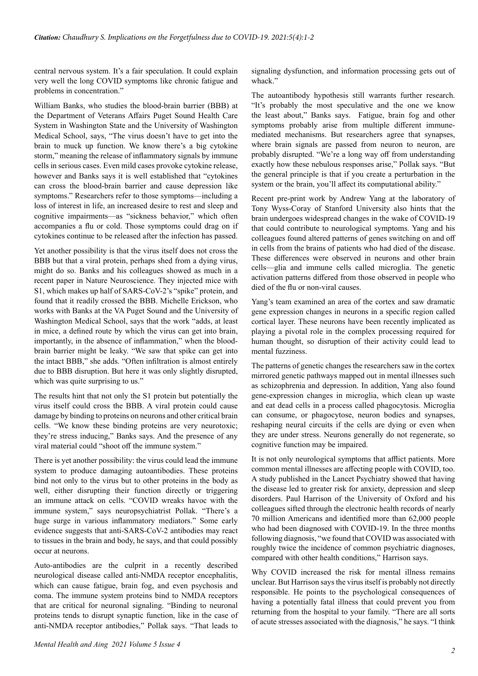central nervous system. It's a fair speculation. It could explain very well the long COVID symptoms like chronic fatigue and problems in concentration."

William Banks, who studies the blood-brain barrier (BBB) at the Department of Veterans Affairs Puget Sound Health Care System in Washington State and the University of Washington Medical School, says, "The virus doesn't have to get into the brain to muck up function. We know there's a big cytokine storm," meaning the release of inflammatory signals by immune cells in serious cases. Even mild cases provoke cytokine release, however and Banks says it is well established that "cytokines can cross the blood-brain barrier and cause depression like symptoms." Researchers refer to those symptoms—including a loss of interest in life, an increased desire to rest and sleep and cognitive impairments—as "sickness behavior," which often accompanies a flu or cold. Those symptoms could drag on if cytokines continue to be released after the infection has passed.

Yet another possibility is that the virus itself does not cross the BBB but that a viral protein, perhaps shed from a dying virus, might do so. Banks and his colleagues showed as much in a recent paper in Nature Neuroscience. They injected mice with S1, which makes up half of SARS-CoV-2's "spike" protein, and found that it readily crossed the BBB. Michelle Erickson, who works with Banks at the VA Puget Sound and the University of Washington Medical School, says that the work "adds, at least in mice, a defined route by which the virus can get into brain, importantly, in the absence of inflammation," when the bloodbrain barrier might be leaky. "We saw that spike can get into the intact BBB," she adds. "Often infiltration is almost entirely due to BBB disruption. But here it was only slightly disrupted, which was quite surprising to us."

The results hint that not only the S1 protein but potentially the virus itself could cross the BBB. A viral protein could cause damage by binding to proteins on neurons and other critical brain cells. "We know these binding proteins are very neurotoxic; they're stress inducing," Banks says. And the presence of any viral material could "shoot off the immune system."

There is yet another possibility: the virus could lead the immune system to produce damaging autoantibodies. These proteins bind not only to the virus but to other proteins in the body as well, either disrupting their function directly or triggering an immune attack on cells. "COVID wreaks havoc with the immune system," says neuropsychiatrist Pollak. "There's a huge surge in various inflammatory mediators." Some early evidence suggests that anti-SARS-CoV-2 antibodies may react to tissues in the brain and body, he says, and that could possibly occur at neurons.

Auto-antibodies are the culprit in a recently described neurological disease called anti-NMDA receptor encephalitis, which can cause fatigue, brain fog, and even psychosis and coma. The immune system proteins bind to NMDA receptors that are critical for neuronal signaling. "Binding to neuronal proteins tends to disrupt synaptic function, like in the case of anti-NMDA receptor antibodies," Pollak says. "That leads to signaling dysfunction, and information processing gets out of whack."

The autoantibody hypothesis still warrants further research. "It's probably the most speculative and the one we know the least about," Banks says. Fatigue, brain fog and other symptoms probably arise from multiple different immunemediated mechanisms. But researchers agree that synapses, where brain signals are passed from neuron to neuron, are probably disrupted. "We're a long way off from understanding exactly how these nebulous responses arise," Pollak says. "But the general principle is that if you create a perturbation in the system or the brain, you'll affect its computational ability."

Recent pre-print work by Andrew Yang at the laboratory of Tony Wyss-Coray of Stanford University also hints that the brain undergoes widespread changes in the wake of COVID-19 that could contribute to neurological symptoms. Yang and his colleagues found altered patterns of genes switching on and off in cells from the brains of patients who had died of the disease. These differences were observed in neurons and other brain cells—glia and immune cells called microglia. The genetic activation patterns differed from those observed in people who died of the flu or non-viral causes.

Yang's team examined an area of the cortex and saw dramatic gene expression changes in neurons in a specific region called cortical layer. These neurons have been recently implicated as playing a pivotal role in the complex processing required for human thought, so disruption of their activity could lead to mental fuzziness.

The patterns of genetic changes the researchers saw in the cortex mirrored genetic pathways mapped out in mental illnesses such as schizophrenia and depression. In addition, Yang also found gene-expression changes in microglia, which clean up waste and eat dead cells in a process called phagocytosis. Microglia can consume, or phagocytose, neuron bodies and synapses, reshaping neural circuits if the cells are dying or even when they are under stress. Neurons generally do not regenerate, so cognitive function may be impaired.

It is not only neurological symptoms that afflict patients. More common mental illnesses are affecting people with COVID, too. A study published in the Lancet Psychiatry showed that having the disease led to greater risk for anxiety, depression and sleep disorders. Paul Harrison of the University of Oxford and his colleagues sifted through the electronic health records of nearly 70 million Americans and identified more than 62,000 people who had been diagnosed with COVID-19. In the three months following diagnosis, "we found that COVID was associated with roughly twice the incidence of common psychiatric diagnoses, compared with other health conditions," Harrison says.

Why COVID increased the risk for mental illness remains unclear. But Harrison says the virus itself is probably not directly responsible. He points to the psychological consequences of having a potentially fatal illness that could prevent you from returning from the hospital to your family. "There are all sorts of acute stresses associated with the diagnosis," he says. "I think